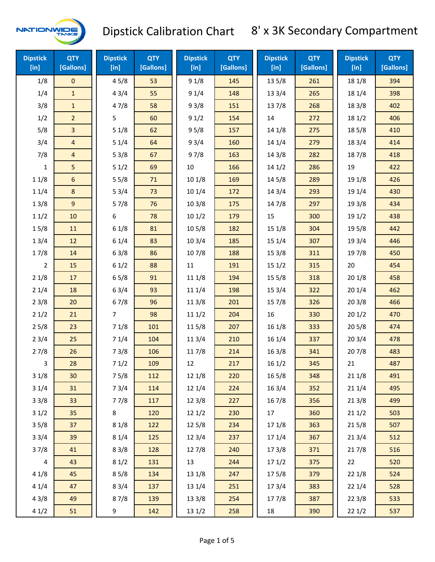

| <b>Dipstick</b><br>$[$ in] | <b>QTY</b><br>[Gallons] | <b>Dipstick</b><br>[in] | <b>QTY</b><br>[Gallons] | <b>Dipstick</b><br>[in] | <b>QTY</b><br>[Gallons] | <b>Dipstick</b><br><b>QTY</b><br>[Gallons]<br>$[$ in] |     | <b>Dipstick</b><br>[in] | <b>QTY</b><br>[Gallons] |
|----------------------------|-------------------------|-------------------------|-------------------------|-------------------------|-------------------------|-------------------------------------------------------|-----|-------------------------|-------------------------|
| 1/8                        | $\mathsf{O}\xspace$     | 45/8                    | 53                      | 91/8                    | 145                     | 135/8                                                 | 261 | 18 1/8                  | 394                     |
| 1/4                        | $\mathbf{1}$            | 43/4                    | 55                      | 91/4                    | 148                     | 133/4                                                 | 265 | 18 1/4                  | 398                     |
| 3/8                        | $\mathbf{1}$            | 47/8                    | 58                      | 93/8                    | 151                     | 137/8                                                 | 268 | 18 3/8                  | 402                     |
| 1/2                        | $\overline{a}$          | 5                       | 60                      | 91/2                    | 154                     | 14                                                    | 272 | 18 1/2                  | 406                     |
| 5/8                        | 3                       | 51/8                    | 62                      | 95/8                    | 157                     | 14 1/8                                                | 275 | 185/8                   | 410                     |
| 3/4                        | 4                       | 51/4                    | 64                      | 93/4                    | 160                     | 14 1/4                                                | 279 | 18 3/4                  | 414                     |
| 7/8                        | $\overline{4}$          | 53/8                    | 67                      | 97/8                    | 163                     | 14 3/8                                                | 282 | 187/8                   | 418                     |
| 1                          | 5                       | 51/2                    | 69                      | $10\,$                  | 166                     | 141/2                                                 | 286 | 19                      | 422                     |
| 11/8                       | 6                       | 55/8                    | 71                      | 101/8                   | 169                     | 14 5/8                                                | 289 | 19 1/8                  | 426                     |
| 11/4                       | $8\phantom{1}$          | 53/4                    | 73                      | 101/4                   | 172                     | 143/4                                                 | 293 | 19 1/4                  | 430                     |
| 13/8                       | $9\,$                   | 57/8                    | 76                      | 103/8                   | 175                     | 147/8                                                 | 297 | 19 3/8                  | 434                     |
| 11/2                       | 10                      | 6                       | 78                      | 101/2                   | 179                     | 15                                                    | 300 | 19 1/2                  | 438                     |
| 15/8                       | 11                      | 61/8                    | 81                      | 10 <sub>5/8</sub>       | 182                     | 15 1/8                                                | 304 | 19 5/8                  | 442                     |
| 13/4                       | 12                      | 61/4                    | 83                      | 103/4                   | 185                     | 15 1/4                                                | 307 | 19 3/4                  | 446                     |
| 17/8                       | 14                      | 63/8                    | 86                      | 107/8                   | 188                     | 153/8                                                 | 311 | 197/8                   | 450                     |
| $\overline{2}$             | 15                      | 61/2                    | 88                      | 11                      | 191                     | 151/2                                                 | 315 | 20                      | 454                     |
| 21/8                       | 17                      | 65/8                    | 91                      | 111/8                   | 194                     | 15 5/8                                                | 318 | 201/8                   | 458                     |
| 21/4                       | 18                      | 63/4                    | 93                      | 11 1/4                  | 198                     | 153/4                                                 | 322 | 201/4                   | 462                     |
| 23/8                       | 20                      | 67/8                    | 96                      | 11 3/8                  | 201                     | 15 7/8                                                | 326 | 203/8                   | 466                     |
| 21/2                       | 21                      | $\overline{7}$          | 98                      | 111/2                   | 204                     | 16                                                    | 330 | 201/2                   | 470                     |
| 25/8                       | 23                      | 71/8                    | 101                     | 11 5/8                  | 207                     | 161/8                                                 | 333 | 205/8                   | 474                     |
| 23/4                       | 25                      | 71/4                    | 104                     | 113/4                   | 210                     | 16 1/4                                                | 337 | 203/4                   | 478                     |
| 27/8                       | 26                      | 73/8                    | 106                     | 11 7/8                  | 214                     | 16 3/8                                                | 341 | 207/8                   | 483                     |
| 3                          | 28                      | 71/2                    | 109                     | 12                      | 217                     | 161/2                                                 | 345 | 21                      | 487                     |
| 31/8                       | 30                      | 75/8                    | 112                     | 12 1/8                  | 220                     | 16 5/8                                                | 348 | 211/8                   | 491                     |
| 31/4                       | 31                      | 73/4                    | 114                     | 12 1/4                  | 224                     | 163/4                                                 | 352 | 21 1/4                  | 495                     |
| 33/8                       | 33                      | 77/8                    | 117                     | 12 3/8                  | 227                     | 16 7/8                                                | 356 | 213/8                   | 499                     |
| 31/2                       | 35                      | 8                       | 120                     | 121/2                   | 230                     | 17                                                    | 360 | 211/2                   | 503                     |
| 35/8                       | 37                      | 81/8                    | 122                     | 125/8                   | 234                     | 17 1/8                                                | 363 | 215/8                   | 507                     |
| 33/4                       | 39                      | 81/4                    | 125                     | 123/4                   | 237                     | 17 1/4                                                | 367 | 213/4                   | 512                     |
| 37/8                       | 41                      | 83/8                    | 128                     | 127/8                   | 240                     | 173/8                                                 | 371 | 217/8                   | 516                     |
| 4                          | 43                      | 81/2                    | 131                     | 13                      | 244                     | 171/2                                                 | 375 | 22                      | 520                     |
| 41/8                       | 45                      | 85/8                    | 134                     | 13 1/8                  | 247                     | 175/8                                                 | 379 | 22 1/8                  | 524                     |
| 41/4                       | 47                      | 83/4                    | 137                     | 13 1/4                  | 251                     | 17 3/4                                                | 383 | 221/4                   | 528                     |
| 43/8                       | 49                      | 87/8                    | 139                     | 13 3/8                  | 254                     | 177/8                                                 | 387 | 223/8                   | 533                     |
| 41/2                       | 51                      | 9                       | 142                     | 13 1/2                  | 258                     | 18                                                    | 390 | 221/2                   | 537                     |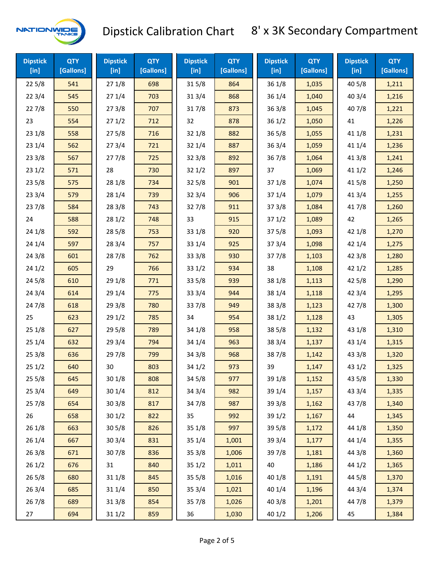

| <b>Dipstick</b><br>$[$ in] | <b>QTY</b><br>[Gallons] | <b>Dipstick</b><br>$[$ in] | <b>QTY</b><br>[Gallons] | <b>Dipstick</b><br>$[$ in] | <b>QTY</b><br>[Gallons] | <b>Dipstick</b><br>[in] | <b>QTY</b><br>[Gallons] | <b>Dipstick</b><br>$[$ in] | <b>QTY</b><br>[Gallons] |
|----------------------------|-------------------------|----------------------------|-------------------------|----------------------------|-------------------------|-------------------------|-------------------------|----------------------------|-------------------------|
| 225/8                      | 541                     | 271/8                      | 698                     | 315/8                      | 864                     | 36 1/8                  | 1,035                   | 40 5/8                     | 1,211                   |
| 223/4                      | 545                     | 271/4                      | 703                     | 313/4                      | 868                     | 36 1/4                  | 1,040                   | 403/4                      | 1,216                   |
| 227/8                      | 550                     | 273/8                      | 707                     | 317/8                      | 873                     | 363/8                   | 1,045                   | 407/8                      | 1,221                   |
| 23                         | 554                     | 271/2                      | 712                     | 32                         | 878                     | 361/2                   | 1,050                   | 41                         | 1,226                   |
| 23 1/8                     | 558                     | 275/8                      | 716                     | 321/8                      | 882                     | 36 5/8                  | 1,055                   | 41 1/8                     | 1,231                   |
| 23 1/4                     | 562                     | 273/4                      | 721                     | 321/4                      | 887                     | 36 3/4                  | 1,059                   | 41 1/4                     | 1,236                   |
| 233/8                      | 567                     | 277/8                      | 725                     | 323/8                      | 892                     | 367/8                   | 1,064                   | 413/8                      | 1,241                   |
| 231/2                      | 571                     | 28                         | 730                     | 321/2                      | 897                     | 37                      | 1,069                   | 411/2                      | 1,246                   |
| 235/8                      | 575                     | 28 1/8                     | 734                     | 325/8                      | 901                     | 37 1/8                  | 1,074                   | 41 5/8                     | 1,250                   |
| 233/4                      | 579                     | 28 1/4                     | 739                     | 323/4                      | 906                     | 37 1/4                  | 1,079                   | 41 3/4                     | 1,255                   |
| 237/8                      | 584                     | 28 3/8                     | 743                     | 327/8                      | 911                     | 373/8                   | 1,084                   | 417/8                      | 1,260                   |
| 24                         | 588                     | 281/2                      | 748                     | 33                         | 915                     | 371/2                   | 1,089                   | 42                         | 1,265                   |
| 24 1/8                     | 592                     | 285/8                      | 753                     | 33 1/8                     | 920                     | 37 5/8                  | 1,093                   | 42 1/8                     | 1,270                   |
| 24 1/4                     | 597                     | 283/4                      | 757                     | 33 1/4                     | 925                     | 37 3/4                  | 1,098                   | 42 1/4                     | 1,275                   |
| 243/8                      | 601                     | 287/8                      | 762                     | 33 3/8                     | 930                     | 377/8                   | 1,103                   | 423/8                      | 1,280                   |
| 241/2                      | 605                     | 29                         | 766                     | 331/2                      | 934                     | 38                      | 1,108                   | 421/2                      | 1,285                   |
| 245/8                      | 610                     | 29 1/8                     | 771                     | 335/8                      | 939                     | 38 1/8                  | 1,113                   | 42 5/8                     | 1,290                   |
| 243/4                      | 614                     | 29 1/4                     | 775                     | 33 3/4                     | 944                     | 38 1/4                  | 1,118                   | 42 3/4                     | 1,295                   |
| 24 7/8                     | 618                     | 293/8                      | 780                     | 337/8                      | 949                     | 38 3/8                  | 1,123                   | 42 7/8                     | 1,300                   |
| 25                         | 623                     | 291/2                      | 785                     | 34                         | 954                     | 38 1/2                  | 1,128                   | 43                         | 1,305                   |
| 251/8                      | 627                     | 295/8                      | 789                     | 34 1/8                     | 958                     | 38 5/8                  | 1,132                   | 43 1/8                     | 1,310                   |
| 251/4                      | 632                     | 29 3/4                     | 794                     | 34 1/4                     | 963                     | 38 3/4                  | 1,137                   | 43 1/4                     | 1,315                   |
| 253/8                      | 636                     | 297/8                      | 799                     | 34 3/8                     | 968                     | 387/8                   | 1,142                   | 43 3/8                     | 1,320                   |
| 251/2                      | 640                     | 30                         | 803                     | 34 1/2                     | 973                     | 39                      | 1,147                   | 43 1/2                     | 1,325                   |
| 255/8                      | 645                     | 30 1/8                     | 808                     | 345/8                      | 977                     | 39 1/8                  | 1,152                   | 43 5/8                     | 1,330                   |
| 253/4                      | 649                     | 30 1/4                     | 812                     | 34 3/4                     | 982                     | 39 1/4                  | 1,157                   | 43 3/4                     | 1,335                   |
| 257/8                      | 654                     | 303/8                      | 817                     | 347/8                      | 987                     | 39 3/8                  | 1,162                   | 437/8                      | 1,340                   |
| 26                         | 658                     | 301/2                      | 822                     | 35                         | 992                     | 39 1/2                  | 1,167                   | 44                         | 1,345                   |
| 26 1/8                     | 663                     | 305/8                      | 826                     | 35 1/8                     | 997                     | 39 5/8                  | 1,172                   | 44 1/8                     | 1,350                   |
| 26 1/4                     | 667                     | 303/4                      | 831                     | 35 1/4                     | 1,001                   | 39 3/4                  | 1,177                   | 44 1/4                     | 1,355                   |
| 263/8                      | 671                     | 307/8                      | 836                     | 35 3/8                     | 1,006                   | 397/8                   | 1,181                   | 44 3/8                     | 1,360                   |
| 261/2                      | 676                     | 31                         | 840                     | 351/2                      | 1,011                   | 40                      | 1,186                   | 44 1/2                     | 1,365                   |
| 265/8                      | 680                     | 31 1/8                     | 845                     | 355/8                      | 1,016                   | 40 1/8                  | 1,191                   | 44 5/8                     | 1,370                   |
| 263/4                      | 685                     | 31 1/4                     | 850                     | 353/4                      | 1,021                   | 40 1/4                  | 1,196                   | 44 3/4                     | 1,374                   |
| 267/8                      | 689                     | 31 3/8                     | 854                     | 357/8                      | 1,026                   | 40 3/8                  | 1,201                   | 447/8                      | 1,379                   |
| 27                         | 694                     | 311/2                      | 859                     | 36                         | 1,030                   | 40 1/2                  | 1,206                   | 45                         | 1,384                   |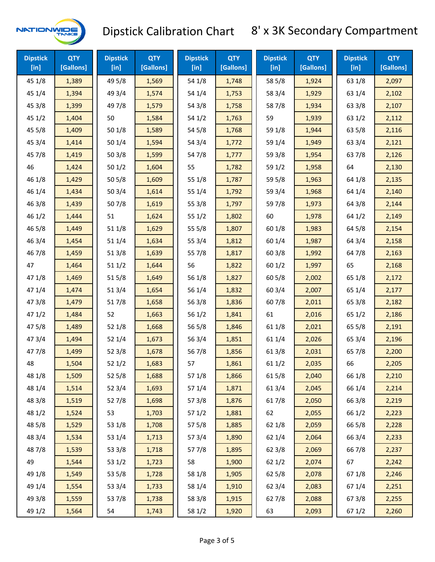

| <b>Dipstick</b><br>$[$ in] | <b>QTY</b><br>[Gallons] | <b>Dipstick</b><br>$[$ in] | <b>QTY</b><br>[Gallons] | <b>Dipstick</b><br>$[$ in] | <b>QTY</b><br>[Gallons] | <b>Dipstick</b><br>$[$ in] | <b>QTY</b><br>[Gallons] | <b>Dipstick</b><br>$[$ in] | <b>QTY</b><br>[Gallons] |
|----------------------------|-------------------------|----------------------------|-------------------------|----------------------------|-------------------------|----------------------------|-------------------------|----------------------------|-------------------------|
| 45 1/8                     | 1,389                   | 49 5/8                     | 1,569                   | 54 1/8                     | 1,748                   | 58 5/8                     | 1,924                   | 63 1/8                     | 2,097                   |
| 45 1/4                     | 1,394                   | 49 3/4                     | 1,574                   | 54 1/4                     | 1,753                   | 58 3/4                     | 1,929                   | 63 1/4                     | 2,102                   |
| 45 3/8                     | 1,399                   | 49 7/8                     | 1,579                   | 54 3/8                     | 1,758                   | 587/8                      | 1,934                   | 63 3/8                     | 2,107                   |
| 451/2                      | 1,404                   | 50                         | 1,584                   | 54 1/2                     | 1,763                   | 59                         | 1,939                   | 63 1/2                     | 2,112                   |
| 45 5/8                     | 1,409                   | 501/8                      | 1,589                   | 54 5/8                     | 1,768                   | 59 1/8                     | 1,944                   | 63 5/8                     | 2,116                   |
| 45 3/4                     | 1,414                   | 501/4                      | 1,594                   | 54 3/4                     | 1,772                   | 59 1/4                     | 1,949                   | 63 3/4                     | 2,121                   |
| 45 7/8                     | 1,419                   | 503/8                      | 1,599                   | 54 7/8                     | 1,777                   | 59 3/8                     | 1,954                   | 63 7/8                     | 2,126                   |
| 46                         | 1,424                   | 501/2                      | 1,604                   | 55                         | 1,782                   | 59 1/2                     | 1,958                   | 64                         | 2,130                   |
| 46 1/8                     | 1,429                   | 505/8                      | 1,609                   | 55 1/8                     | 1,787                   | 59 5/8                     | 1,963                   | 64 1/8                     | 2,135                   |
| 46 1/4                     | 1,434                   | 503/4                      | 1,614                   | 55 1/4                     | 1,792                   | 59 3/4                     | 1,968                   | 64 1/4                     | 2,140                   |
| 46 3/8                     | 1,439                   | 507/8                      | 1,619                   | 55 3/8                     | 1,797                   | 597/8                      | 1,973                   | 64 3/8                     | 2,144                   |
| 46 1/2                     | 1,444                   | 51                         | 1,624                   | 551/2                      | 1,802                   | 60                         | 1,978                   | 64 1/2                     | 2,149                   |
| 46 5/8                     | 1,449                   | 51 1/8                     | 1,629                   | 55 5/8                     | 1,807                   | 60 1/8                     | 1,983                   | 64 5/8                     | 2,154                   |
| 46 3/4                     | 1,454                   | 51 1/4                     | 1,634                   | 55 3/4                     | 1,812                   | 60 1/4                     | 1,987                   | 64 3/4                     | 2,158                   |
| 46 7/8                     | 1,459                   | 513/8                      | 1,639                   | 55 7/8                     | 1,817                   | 60 3/8                     | 1,992                   | 64 7/8                     | 2,163                   |
| 47                         | 1,464                   | 511/2                      | 1,644                   | 56                         | 1,822                   | 601/2                      | 1,997                   | 65                         | 2,168                   |
| 47 1/8                     | 1,469                   | 515/8                      | 1,649                   | 56 1/8                     | 1,827                   | 60 5/8                     | 2,002                   | 65 1/8                     | 2,172                   |
| 47 1/4                     | 1,474                   | 51 3/4                     | 1,654                   | 56 1/4                     | 1,832                   | 60 3/4                     | 2,007                   | 65 1/4                     | 2,177                   |
| 47 3/8                     | 1,479                   | 517/8                      | 1,658                   | 56 3/8                     | 1,836                   | 607/8                      | 2,011                   | 65 3/8                     | 2,182                   |
| 47 1/2                     | 1,484                   | 52                         | 1,663                   | 56 1/2                     | 1,841                   | 61                         | 2,016                   | 65 1/2                     | 2,186                   |
| 475/8                      | 1,489                   | 52 1/8                     | 1,668                   | 56 5/8                     | 1,846                   | 61 1/8                     | 2,021                   | 65 5/8                     | 2,191                   |
| 47 3/4                     | 1,494                   | 52 1/4                     | 1,673                   | 56 3/4                     | 1,851                   | 61 1/4                     | 2,026                   | 65 3/4                     | 2,196                   |
| 477/8                      | 1,499                   | 52 3/8                     | 1,678                   | 567/8                      | 1,856                   | 61 3/8                     | 2,031                   | 65 7/8                     | 2,200                   |
| 48                         | 1,504                   | 52 1/2                     | 1,683                   | 57                         | 1,861                   | 61 1/2                     | 2,035                   | 66                         | 2,205                   |
| 48 1/8                     | 1,509                   | 525/8                      | 1,688                   | 57 1/8                     | 1,866                   | 615/8                      | 2,040                   | 66 1/8                     | 2,210                   |
| 48 1/4                     | 1,514                   | 52 3/4                     | 1,693                   | 57 1/4                     | 1,871                   | 61 3/4                     | 2,045                   | 66 1/4                     | 2,214                   |
| 48 3/8                     | 1,519                   | 527/8                      | 1,698                   | 57 3/8                     | 1,876                   | 617/8                      | 2,050                   | 66 3/8                     | 2,219                   |
| 48 1/2                     | 1,524                   | 53                         | 1,703                   | 57 1/2                     | 1,881                   | 62                         | 2,055                   | 66 1/2                     | 2,223                   |
| 48 5/8                     | 1,529                   | 53 1/8                     | 1,708                   | 57 5/8                     | 1,885                   | 62 1/8                     | 2,059                   | 66 5/8                     | 2,228                   |
| 48 3/4                     | 1,534                   | 53 1/4                     | 1,713                   | 573/4                      | 1,890                   | 62 1/4                     | 2,064                   | 66 3/4                     | 2,233                   |
| 487/8                      | 1,539                   | 53 3/8                     | 1,718                   | 577/8                      | 1,895                   | 62 3/8                     | 2,069                   | 667/8                      | 2,237                   |
| 49                         | 1,544                   | 53 1/2                     | 1,723                   | 58                         | 1,900                   | 62 1/2                     | 2,074                   | 67                         | 2,242                   |
| 49 1/8                     | 1,549                   | 53 5/8                     | 1,728                   | 58 1/8                     | 1,905                   | 62 5/8                     | 2,078                   | 671/8                      | 2,246                   |
| 49 1/4                     | 1,554                   | 53 3/4                     | 1,733                   | 58 1/4                     | 1,910                   | 62 3/4                     | 2,083                   | 671/4                      | 2,251                   |
| 49 3/8                     | 1,559                   | 537/8                      | 1,738                   | 58 3/8                     | 1,915                   | 627/8                      | 2,088                   | 67 3/8                     | 2,255                   |
| 49 1/2                     | 1,564                   | 54                         | 1,743                   | 58 1/2                     | 1,920                   | 63                         | 2,093                   | 67 1/2                     | 2,260                   |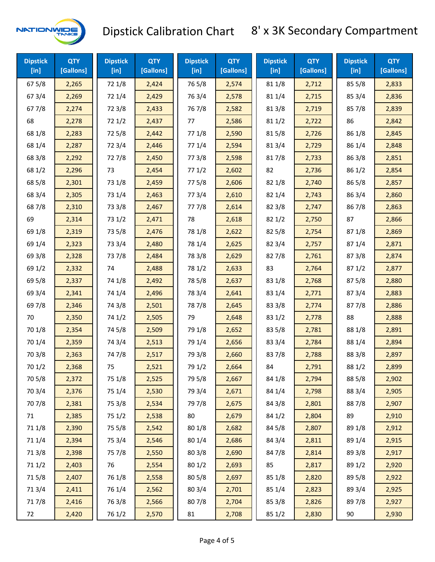

| <b>Dipstick</b><br>$[$ in] | <b>QTY</b><br>[Gallons] | <b>Dipstick</b><br>[in] | <b>QTY</b><br>[Gallons] | <b>Dipstick</b><br>$[$ in] | <b>QTY</b><br>[Gallons] | <b>Dipstick</b><br>$[$ in] | <b>QTY</b><br>[Gallons] | <b>Dipstick</b><br>$[$ in $]$ | <b>QTY</b><br>[Gallons] |
|----------------------------|-------------------------|-------------------------|-------------------------|----------------------------|-------------------------|----------------------------|-------------------------|-------------------------------|-------------------------|
| 67 5/8                     | 2,265                   | 72 1/8                  | 2,424                   | 765/8                      | 2,574                   | 81 1/8                     | 2,712                   | 855/8                         | 2,833                   |
| 67 3/4                     | 2,269                   | 72 1/4                  | 2,429                   | 763/4                      | 2,578                   | 81 1/4                     | 2,715                   | 85 3/4                        | 2,836                   |
| 67 7/8                     | 2,274                   | 72 3/8                  | 2,433                   | 767/8                      | 2,582                   | 81 3/8                     | 2,719                   | 857/8                         | 2,839                   |
| 68                         | 2,278                   | 72 1/2                  | 2,437                   | 77                         | 2,586                   | 81 1/2                     | 2,722                   | 86                            | 2,842                   |
| 68 1/8                     | 2,283                   | 725/8                   | 2,442                   | 77 1/8                     | 2,590                   | 815/8                      | 2,726                   | 86 1/8                        | 2,845                   |
| 68 1/4                     | 2,287                   | 72 3/4                  | 2,446                   | 77 1/4                     | 2,594                   | 813/4                      | 2,729                   | 86 1/4                        | 2,848                   |
| 68 3/8                     | 2,292                   | 727/8                   | 2,450                   | 77 3/8                     | 2,598                   | 817/8                      | 2,733                   | 86 3/8                        | 2,851                   |
| 68 1/2                     | 2,296                   | 73                      | 2,454                   | 771/2                      | 2,602                   | 82                         | 2,736                   | 86 1/2                        | 2,854                   |
| 68 5/8                     | 2,301                   | 73 1/8                  | 2,459                   | 775/8                      | 2,606                   | 82 1/8                     | 2,740                   | 865/8                         | 2,857                   |
| 68 3/4                     | 2,305                   | 73 1/4                  | 2,463                   | 773/4                      | 2,610                   | 82 1/4                     | 2,743                   | 86 3/4                        | 2,860                   |
| 687/8                      | 2,310                   | 73 3/8                  | 2,467                   | 777/8                      | 2,614                   | 82 3/8                     | 2,747                   | 867/8                         | 2,863                   |
| 69                         | 2,314                   | 73 1/2                  | 2,471                   | 78                         | 2,618                   | 821/2                      | 2,750                   | 87                            | 2,866                   |
| 69 1/8                     | 2,319                   | 73 5/8                  | 2,476                   | 78 1/8                     | 2,622                   | 82 5/8                     | 2,754                   | 871/8                         | 2,869                   |
| 69 1/4                     | 2,323                   | 73 3/4                  | 2,480                   | 78 1/4                     | 2,625                   | 82 3/4                     | 2,757                   | 871/4                         | 2,871                   |
| 69 3/8                     | 2,328                   | 737/8                   | 2,484                   | 78 3/8                     | 2,629                   | 827/8                      | 2,761                   | 87 3/8                        | 2,874                   |
| 69 1/2                     | 2,332                   | 74                      | 2,488                   | 78 1/2                     | 2,633                   | 83                         | 2,764                   | 871/2                         | 2,877                   |
| 69 5/8                     | 2,337                   | 74 1/8                  | 2,492                   | 78 5/8                     | 2,637                   | 83 1/8                     | 2,768                   | 875/8                         | 2,880                   |
| 69 3/4                     | 2,341                   | 74 1/4                  | 2,496                   | 78 3/4                     | 2,641                   | 83 1/4                     | 2,771                   | 87 3/4                        | 2,883                   |
| 697/8                      | 2,346                   | 74 3/8                  | 2,501                   | 787/8                      | 2,645                   | 83 3/8                     | 2,774                   | 877/8                         | 2,886                   |
| 70                         | 2,350                   | 74 1/2                  | 2,505                   | 79                         | 2,648                   | 83 1/2                     | 2,778                   | 88                            | 2,888                   |
| 70 1/8                     | 2,354                   | 74 5/8                  | 2,509                   | 79 1/8                     | 2,652                   | 83 5/8                     | 2,781                   | 88 1/8                        | 2,891                   |
| 70 1/4                     | 2,359                   | 74 3/4                  | 2,513                   | 79 1/4                     | 2,656                   | 83 3/4                     | 2,784                   | 88 1/4                        | 2,894                   |
| 70 3/8                     | 2,363                   | 747/8                   | 2,517                   | 79 3/8                     | 2,660                   | 837/8                      | 2,788                   | 88 3/8                        | 2,897                   |
| 70 1/2                     | 2,368                   | 75                      | 2,521                   | 79 1/2                     | 2,664                   | 84                         | 2,791                   | 88 1/2                        | 2,899                   |
| 70 5/8                     | 2,372                   | 75 1/8                  | 2,525                   | 79 5/8                     | 2,667                   | 84 1/8                     | 2,794                   | 88 5/8                        | 2,902                   |
| 70 3/4                     | 2,376                   | 75 1/4                  | 2,530                   | 79 3/4                     | 2,671                   | 84 1/4                     | 2,798                   | 88 3/4                        | 2,905                   |
| 70 7/8                     | 2,381                   | 75 3/8                  | 2,534                   | 79 7/8                     | 2,675                   | 84 3/8                     | 2,801                   | 887/8                         | 2,907                   |
| 71                         | 2,385                   | 75 1/2                  | 2,538                   | 80                         | 2,679                   | 84 1/2                     | 2,804                   | 89                            | 2,910                   |
| 71 1/8                     | 2,390                   | 75 5/8                  | 2,542                   | 80 1/8                     | 2,682                   | 84 5/8                     | 2,807                   | 89 1/8                        | 2,912                   |
| 71 1/4                     | 2,394                   | 75 3/4                  | 2,546                   | 80 1/4                     | 2,686                   | 84 3/4                     | 2,811                   | 89 1/4                        | 2,915                   |
| 713/8                      | 2,398                   | 75 7/8                  | 2,550                   | 80 3/8                     | 2,690                   | 847/8                      | 2,814                   | 89 3/8                        | 2,917                   |
| 71 1/2                     | 2,403                   | 76                      | 2,554                   | 80 1/2                     | 2,693                   | 85                         | 2,817                   | 89 1/2                        | 2,920                   |
| 715/8                      | 2,407                   | 76 1/8                  | 2,558                   | 80 5/8                     | 2,697                   | 85 1/8                     | 2,820                   | 89 5/8                        | 2,922                   |
| 71 3/4                     | 2,411                   | 76 1/4                  | 2,562                   | 80 3/4                     | 2,701                   | 85 1/4                     | 2,823                   | 89 3/4                        | 2,925                   |
| 717/8                      | 2,416                   | 763/8                   | 2,566                   | 807/8                      | 2,704                   | 85 3/8                     | 2,826                   | 897/8                         | 2,927                   |
| 72                         | 2,420                   | 76 1/2                  | 2,570                   | 81                         | 2,708                   | 85 1/2                     | 2,830                   | 90                            | 2,930                   |